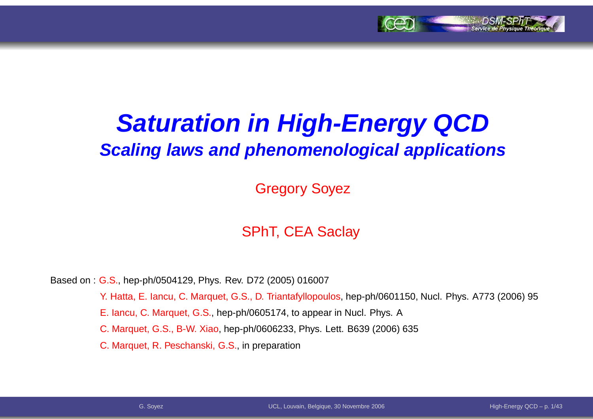

# **Saturation in High-Energy QCDScaling laws and phenomenological applications**

Gregory Soyez

#### SPhT, CEA Saclay

Based on : G.S., hep-ph/0504129, Phys. Rev. D72 (2005) 016007

Y. Hatta, E. Iancu, C. Marquet, G.S., D. Triantafyllopoulos, hep-ph/0601150, Nucl. Phys. A773 (2006) 95

E. Iancu, C. Marquet, G.S., hep-ph/0605174, to appear in Nucl. Phys. A

C. Marquet, G.S., B-W. Xiao, hep-ph/0606233, Phys. Lett. B639 (2006) 635

C. Marquet, R. Peschanski, G.S., in preparation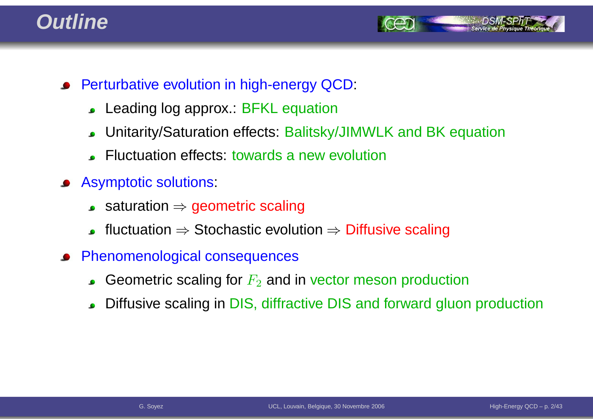#### **Outline**



- **•** Perturbative evolution in high-energy QCD:
	- Leading log approx.: BFKL equation $\bullet$
	- Unitarity/Saturation effects: Balitsky/JIMWLK and BK equation $\bullet$
	- Fluctuation effects: towards <sup>a</sup> new evolution
- Asymptotic solutions:
	- saturation <sup>⇒</sup> geometric scaling
	- fluctuation  $\Rightarrow$  Stochastic evolution  $\Rightarrow$  Diffusive scaling
- Phenomenological consequences
	- Geometric scaling for  $F_2$  and in vector meson production
	- Diffusive scaling in DIS, diffractive DIS and forward gluon production  $\bullet$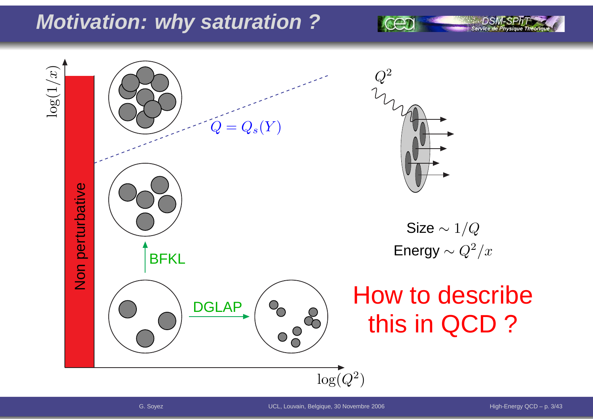## **Motivation: why saturation ?**

 $\log(1/x)$ 2 $\,Q\,$  $=Q_s(Y)$  $\pmb Q$ Non perturbative Size  $\sim 1/Q$ Energy  $\sim Q^2/x$ **BFKL** How to describe**DGLAP**  $\begin{pmatrix} 8 & 8 \\ 0 & 8 \end{pmatrix}$ this in QCD ? $\log(Q^2$  $^{2})$ 

Service de Ph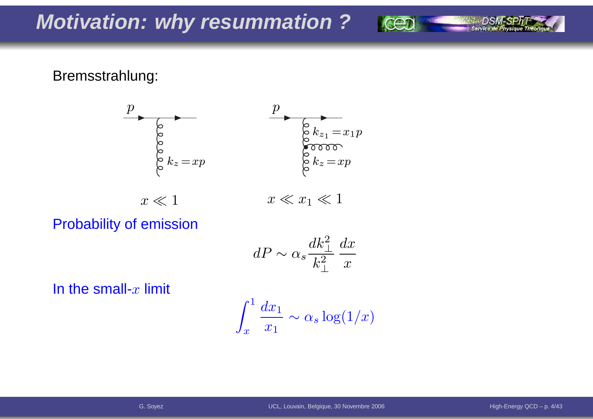Bremsstrahlung:



Probability of emission

$$
dP \sim \alpha_s \frac{dk_\perp^2}{k_\perp^2} \frac{dx}{x}
$$

In the small- $x$  limit

$$
\int_x^1 \frac{dx_1}{x_1} \sim \alpha_s \log(1/x)
$$

Service de Physique Théori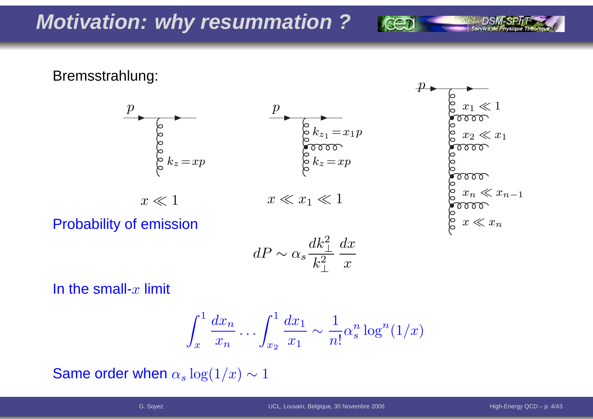Bremsstrahlung:



$$
\begin{array}{l} \circ & x_1 \ll 1 \\ \circ & \circ & \circ & \circ \\ \circ & x_2 \ll x_1 \\ \circ & \circ & \circ & \circ \\ \circ & \circ & \circ & \circ \\ \circ & \circ & \circ & \circ \\ \circ & \circ & \circ & \circ \\ \circ & \circ & \circ & \circ \\ \circ & x \ll x_n \end{array}
$$

Probability of emission

$$
dP \sim \alpha_s \frac{dk_\perp^2}{k_\perp^2} \frac{dx}{x}
$$

In the small- $x$  limit

$$
\int_x^1 \frac{dx_n}{x_n} \dots \int_{x_2}^1 \frac{dx_1}{x_1} \sim \frac{1}{n!} \alpha_s^n \log^n(1/x)
$$

Same order when  $\alpha_s \log(1/x) \sim 1$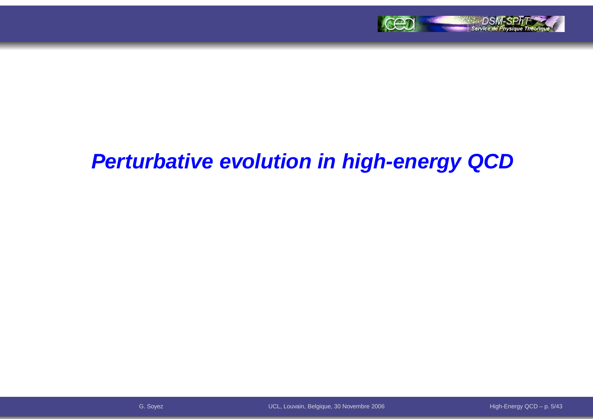

### **Perturbative evolution in high-energy QCD**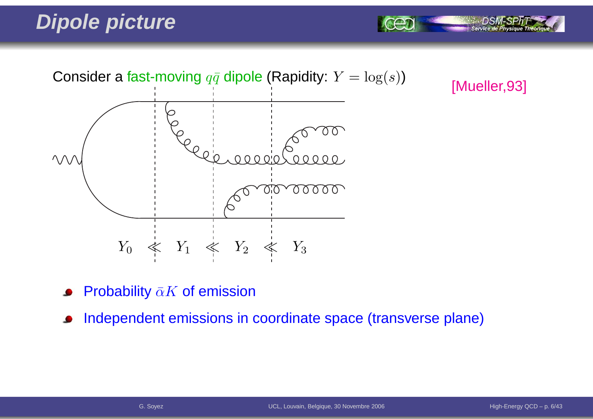## **Dipole picture**



[Mueller,93]

Service de Physi

- Probability  $\bar{\alpha}K$  of emission
- Independent emissions in coordinate space (transverse plane) $\bullet$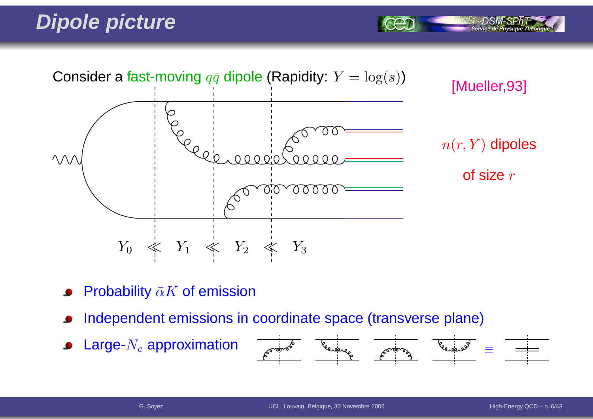## **Dipole picture**



- Probability  $\bar{\alpha}K$  of emission
- Independent emissions in coordinate space (transverse plane)
- Large- $N_c$  approximation  $\bullet$



Service de Physiq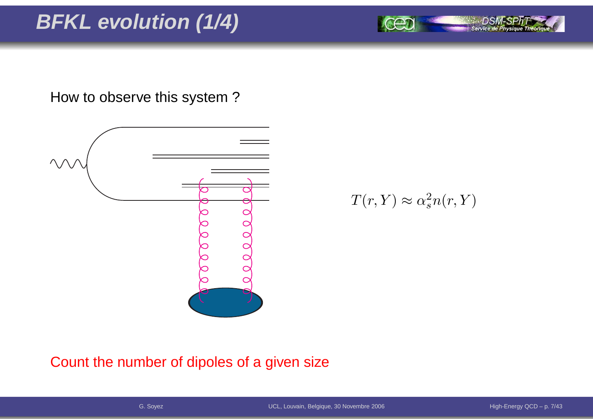# **BFKL evolution (1/4)**

How to observe this system ?



 $T(r,Y)\approx\alpha_s^2$  $\frac{2}{s}n(r,Y)$ 

#### Count the number of dipoles of <sup>a</sup> given size

Service de Physique Théoriq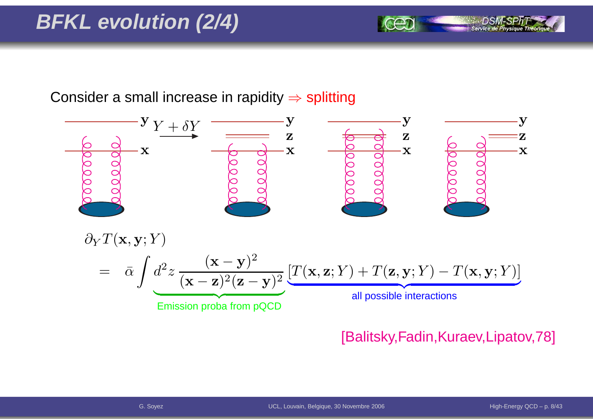# **BFKL evolution (2/4)**

Consider a small increase in rapidity  $\Rightarrow$  splitting



#### [Balitsky,Fadin,Kuraev,Lipatov,78]

Service de Pl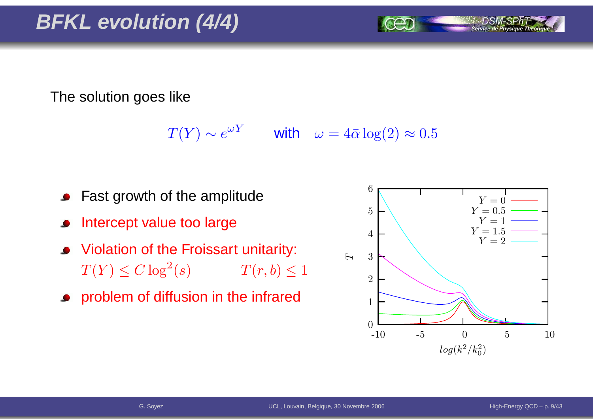The solution goes like

 $T(Y) \sim e^{\omega Y}$  with  $\omega = 4\bar{\alpha} \log(2) \approx 0.5$ 

- Fast growth of the amplitude
- Intercept value too large
- Violation of the Froissart unitarity:  $T(Y) \leq C \log^2$  $T(r, b) \leq 1$
- **•** problem of diffusion in the infrared

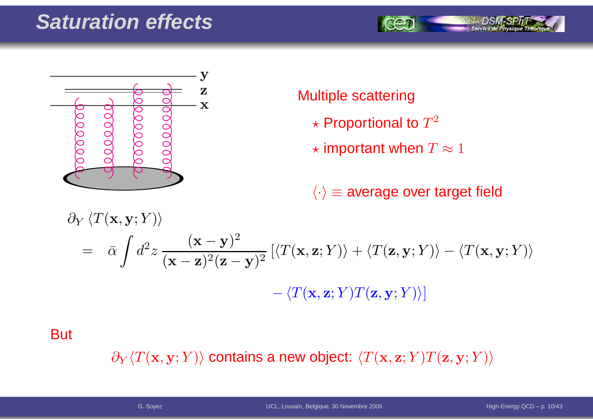## **Saturation effects**





#### Multiple scattering

- $\star$  Proportional to  $T^2$
- $\star$  important when  $T\approx 1$

 $\langle \cdot \rangle$   $\equiv$  average over target field

$$
\partial_Y \langle T(\mathbf{x}, \mathbf{y}; Y) \rangle
$$
  
=  $\bar{\alpha} \int d^2 z \frac{(\mathbf{x} - \mathbf{y})^2}{(\mathbf{x} - \mathbf{z})^2 (\mathbf{z} - \mathbf{y})^2} \left[ \langle T(\mathbf{x}, \mathbf{z}; Y) \rangle + \langle T(\mathbf{z}, \mathbf{y}; Y) \rangle - \langle T(\mathbf{x}, \mathbf{y}; Y) \rangle \right]$   
-  $\langle T(\mathbf{x}, \mathbf{z}; Y) T(\mathbf{z}, \mathbf{y}; Y) \rangle$ 

**But** 

 $\partial_Y \langle T(\mathbf{x},\mathbf{y}; Y) \rangle$  contains a new object:  $\langle T(\mathbf{x},\mathbf{z}; Y) T(\mathbf{z},\mathbf{y}; Y) \rangle$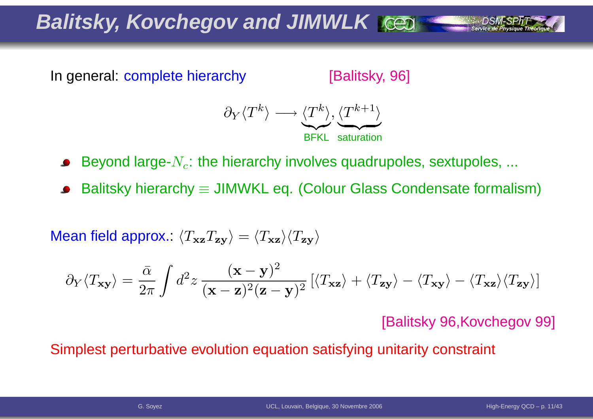**Balitsky, Kovchegov and JIMWLK**

In general: complete hierarchy

[Balitsky, 96]



Beyond large- $N_c$ : the hierarchy involves quadrupoles, sextupoles, ...

Balitsky hierarchy  $\equiv$  JIMWKL eq. (Colour Glass Condensate formalism)

Mean field approx.:  $\langle T_{\bf xz}T_{\bf zy}\rangle=\langle T_{\bf xz}\rangle\langle T_{\bf zy}\rangle$ 

$$
\partial_Y \langle T_{\mathbf{x} \mathbf{y}} \rangle = \frac{\bar{\alpha}}{2\pi} \int d^2 z \, \frac{(\mathbf{x} - \mathbf{y})^2}{(\mathbf{x} - \mathbf{z})^2 (\mathbf{z} - \mathbf{y})^2} \left[ \langle T_{\mathbf{x} \mathbf{z}} \rangle + \langle T_{\mathbf{z} \mathbf{y}} \rangle - \langle T_{\mathbf{x} \mathbf{z}} \rangle \langle T_{\mathbf{z} \mathbf{y}} \rangle \right]
$$

[Balitsky 96,Kovchegov 99]

Simplest perturbative evolution equation satisfying unitarity constraint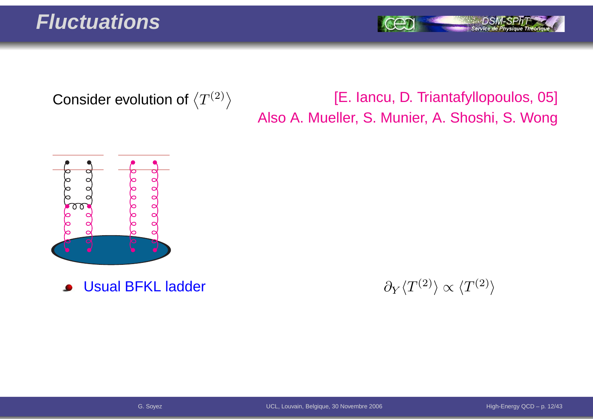#### **Fluctuations**

Service de Physique Théori

Consider evolution of  $\left\langle T^{(2)}\right\rangle$ 

#### [E. Iancu, D. Triantafyllopoulos, 05] Also A. Mueller, S. Munier, A. Shoshi, S. Wong



Usual BFKL ladder $\bullet$ 

r and  $\partial_Y$  $\partial_Y \langle T^{(2)} \rangle \propto \langle T^{(2)} \rangle$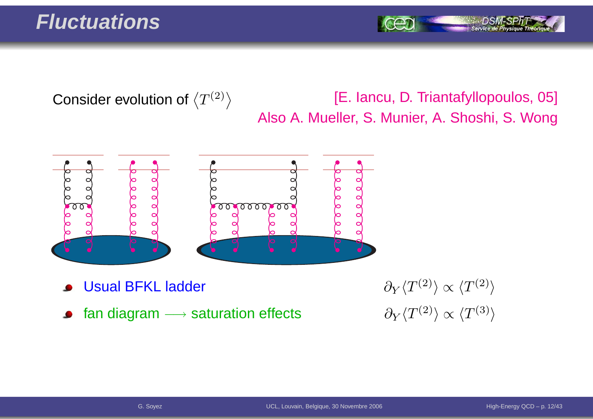#### **Fluctuations**

Service de Pl

Consider evolution of  $\left\langle T^{(2)}\right\rangle$ 

[E. Iancu, D. Triantafyllopoulos, 05] Also A. Mueller, S. Munier, A. Shoshi, S. Wong



- Usual BFKL ladder
- fan diagram  $\longrightarrow$  saturation effects  $\qquad \qquad \partial_Y \langle T^{(2)} \rangle \propto \langle T^{(3)} \rangle$  $\bullet$

r and  $\partial_Y$  $\partial_Y \langle T^{(2)} \rangle \propto \langle T^{(2)} \rangle$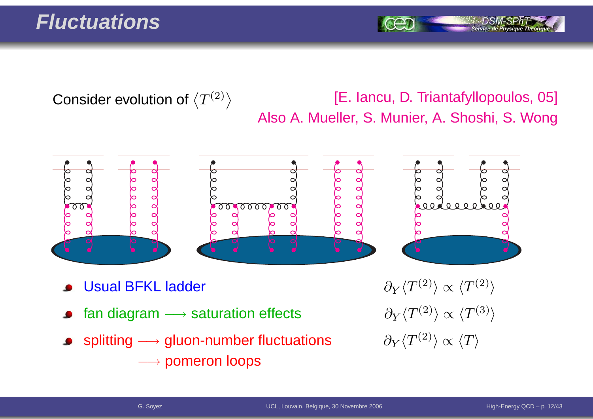#### **Fluctuations**

Consider evolution of  $\left\langle T^{(2)}\right\rangle$ 

#### [E. Iancu, D. Triantafyllopoulos, 05] Also A. Mueller, S. Munier, A. Shoshi, S. Wong



- Usual BFKL ladder
- fan diagram  $\longrightarrow$
- splitting  $\longrightarrow$  $\rightarrow$  gluon-number fluctuations  $\qquad \partial_Y \langle T^{(2)} \rangle \propto \langle T \rangle$ −→ pomeron loops

r  $\partial_Y$  $\partial_Y \langle T^{(2)} \rangle \propto \langle T^{(2)} \rangle$  $\partial_Y \langle T^{(2)} \rangle \propto \langle T^{(3)} \rangle$ <br> $\partial_Y \langle T^{(2)} \rangle \propto \langle T \rangle$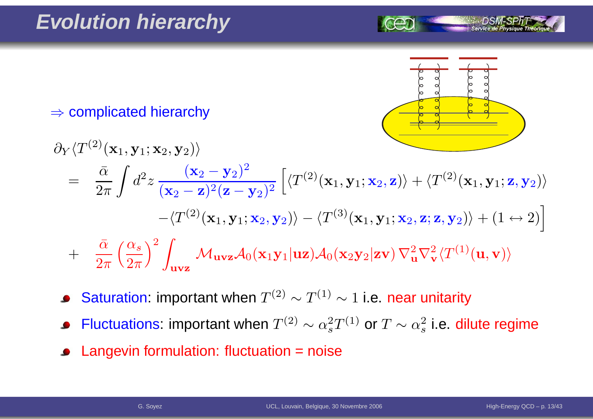

 $\Rightarrow$  complicated hierarchy

$$
\partial_Y \langle T^{(2)}(\mathbf{x}_1, \mathbf{y}_1; \mathbf{x}_2, \mathbf{y}_2) \rangle
$$
\n
$$
= \frac{\bar{\alpha}}{2\pi} \int d^2 z \frac{(\mathbf{x}_2 - \mathbf{y}_2)^2}{(\mathbf{x}_2 - \mathbf{z})^2 (\mathbf{z} - \mathbf{y}_2)^2} \left[ \langle T^{(2)}(\mathbf{x}_1, \mathbf{y}_1; \mathbf{x}_2, \mathbf{z}) \rangle + \langle T^{(2)}(\mathbf{x}_1, \mathbf{y}_1; \mathbf{z}, \mathbf{y}_2) \rangle \right.
$$
\n
$$
- \langle T^{(2)}(\mathbf{x}_1, \mathbf{y}_1; \mathbf{x}_2, \mathbf{y}_2) \rangle - \langle T^{(3)}(\mathbf{x}_1, \mathbf{y}_1; \mathbf{x}_2, \mathbf{z}; \mathbf{z}, \mathbf{y}_2) \rangle + (1 \leftrightarrow 2) \right]
$$
\n
$$
+ \frac{\bar{\alpha}}{2\pi} \left( \frac{\alpha_s}{2\pi} \right)^2 \int_{\mathbf{u} \times \mathbf{z}} \mathcal{M}_{\mathbf{u} \times \mathbf{z}} \mathcal{A}_0(\mathbf{x}_1 \mathbf{y}_1 | \mathbf{u} \mathbf{z}) \mathcal{A}_0(\mathbf{x}_2 \mathbf{y}_2 | \mathbf{z} \mathbf{v}) \nabla_{\mathbf{u}}^2 \nabla_{\mathbf{v}}^2 \langle T^{(1)}(\mathbf{u}, \mathbf{v}) \rangle
$$

- Saturation: important when  $T^{(2)}\sim T^{(1)}\sim 1$  i.e. near unitarity  $\bullet$
- Fluctuations: important when  $T^{(2)}\sim \alpha_s^2$  $_{s}^{2}T^{(1)}$  or  $T\sim\alpha_{s}^{2}$  $\frac{2}{s}$  i.e. dilute regime
- Langevin formulation: fluctuation <sup>=</sup> noise $\bullet$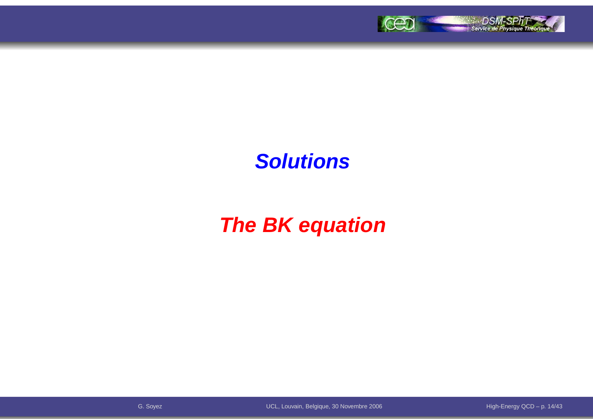

### **Solutions**

# **The BK equation**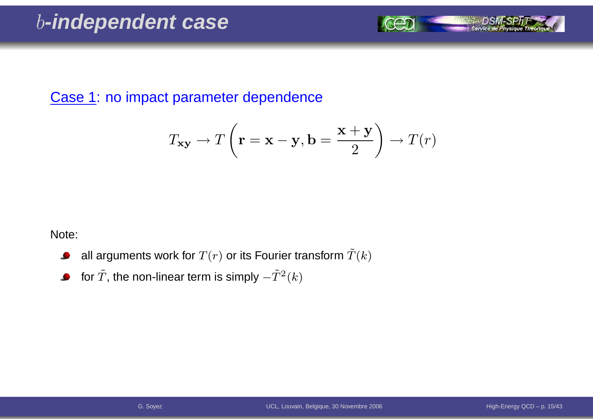Case 1: no impact parameter dependence

$$
T_{\mathbf{xy}} \to T\left(\mathbf{r} = \mathbf{x} - \mathbf{y}, \mathbf{b} = \frac{\mathbf{x} + \mathbf{y}}{2}\right) \to T(r)
$$

Note:

- all arguments work for  $T(r)$  or its Fourier transform  $\tilde T(k)$  $\bullet$
- for  $\tilde{T}$ , the non-linear term is simply  $-\tilde{T}^{2}(k)$  $\bullet$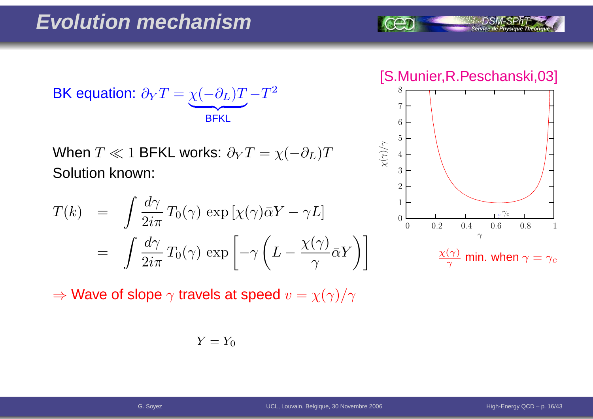$$
\text{BK equation: } \partial_Y T = \underbrace{\chi(-\partial_L)T}_{\text{BFKL}} - T^2
$$

When  $T\ll 1$  BFKL works:  $\partial_{Y}T=\chi($  Solution known:  $-\partial_L)T$ 

$$
T(k) = \int \frac{d\gamma}{2i\pi} T_0(\gamma) \exp\left[\chi(\gamma)\bar{\alpha}Y - \gamma L\right]
$$
  
= 
$$
\int \frac{d\gamma}{2i\pi} T_0(\gamma) \exp\left[-\gamma \left(L - \frac{\chi(\gamma)}{\gamma} \bar{\alpha}Y\right)\right]
$$

 $\Rightarrow$  Wave of slope  $\gamma$  travels at speed  $v=\chi(\gamma)/\gamma$ 

$$
Y = Y_0
$$

[S.Munier,R.Peschanski,03]

Service de Physique Théoriq

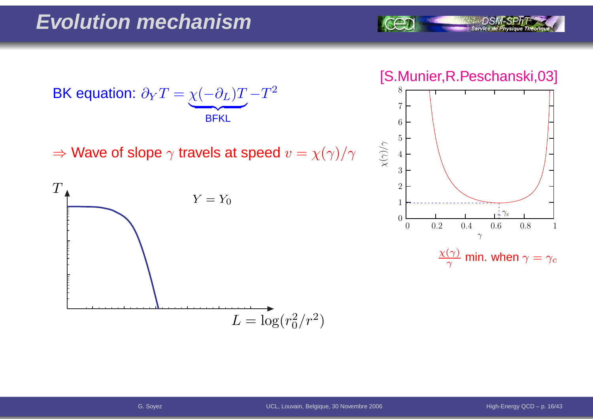





 $\frac{\chi(\gamma)}{\gamma}$  min. when  $\gamma=\gamma_c$ 



 $\Rightarrow$  Wave of slope  $\gamma$  travels at speed  $v=\chi(\gamma)/\gamma$ 

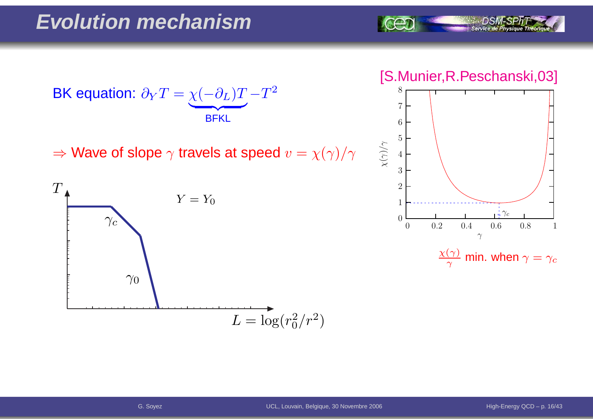

#### [S.Munier,R.Peschanski,03]



 $\frac{\chi(\gamma)}{\gamma}$  min. when  $\gamma=\gamma_c$ 



 $\Rightarrow$  Wave of slope  $\gamma$  travels at speed  $v=\chi(\gamma)/\gamma$ 

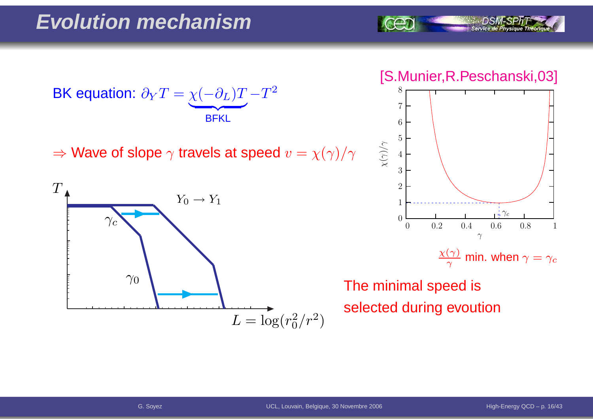BK equation:  $\partial$  $\,$  $\bm{T}$ = $\chi$  $\left($  $\partial$ L)  $\bm{T}$  $\overline{\phantom{a}}$  BFKL− $\bm{T}$ 2

 $\Rightarrow$  Wave of slope  $\gamma$  travels at speed  $v=\chi(\gamma)/\gamma$ 



[S.Munier,R.Peschanski,03]

Service de Physique Théoria



 $\frac{\chi(\gamma)}{\gamma}$  min. when  $\gamma=\gamma_c$ 

The minimal speed isselected during evoution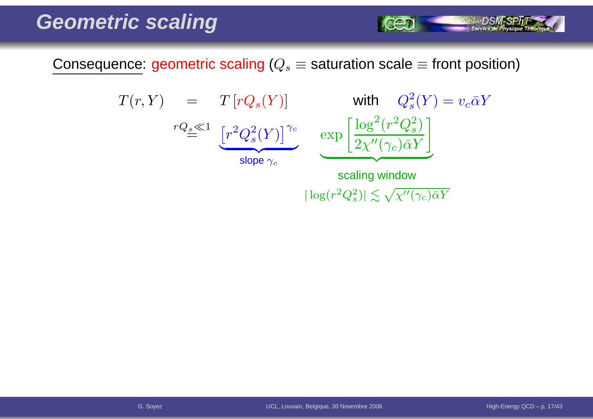Consequence: geometric scaling ( $Q_s\equiv$  saturation scale  $\equiv$  front position)

$$
T(r, Y) = T[rQ_s(Y)] \text{ with } Q_s^2(Y) = v_c \bar{\alpha}Y
$$
  

$$
rQ_s \ll 1 \underbrace{[r^2Q_s^2(Y)]^{\gamma_c}}_{\text{slope } \gamma_c} \exp \left[ \frac{\log^2(r^2Q_s^2)}{2\chi''(\gamma_c)\bar{\alpha}Y} \right]
$$
  
scaling window

 $|\log(r^2Q_s^2)| \lesssim \sqrt{\chi''(\gamma_c)\bar{\alpha}Y}$ 

*DSM-SPhT*<br>| Service de Physique Théoriqu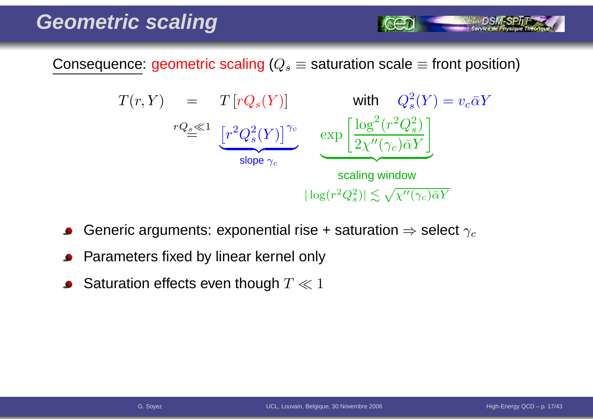Consequence: geometric scaling ( $Q_s\equiv$  saturation scale  $\equiv$  front position)



- Generic arguments: exponential rise + saturation  $\Rightarrow$  select  $\gamma_c$
- Parameters fixed by linear kernel only
- Saturation effects even though  $T \ll 1$

Service de Ph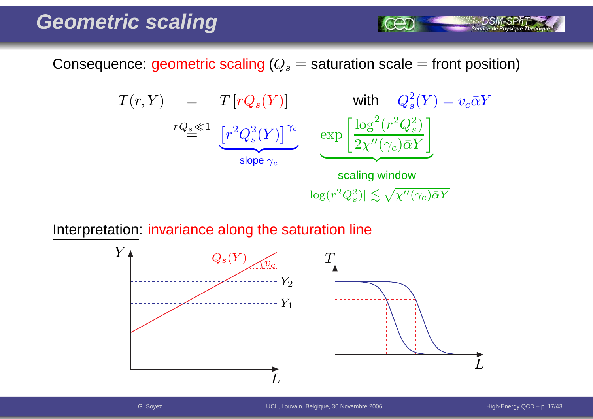Consequence: geometric scaling ( $Q_s\equiv$  saturation scale  $\equiv$  front position)

$$
T(r, Y) = T[rQ_s(Y)] \text{ with } Q_s^2(Y) = v_c \bar{\alpha}Y
$$
  
\n
$$
rQ_s \ll 1 \underbrace{[r^2Q_s^2(Y)]^{\gamma_c}}_{\text{slope } \gamma_c} \underbrace{\exp\left[\frac{\log^2(r^2Q_s^2)}{2\chi''(\gamma_c)\bar{\alpha}Y}\right]}_{\text{scaling window}}
$$
  
\n
$$
|\log(r^2Q_s^2)| \lesssim \sqrt{\chi''(\gamma_c)\bar{\alpha}Y}
$$

Interpretation: invariance along the saturation line



Service de Physique Théoriq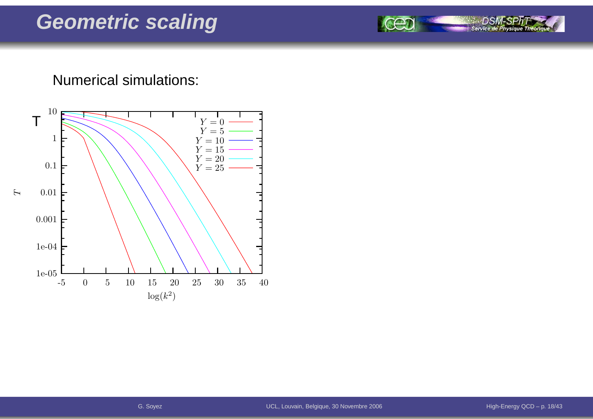#### Numerical simulations:



DSN

Service de Physique Théoriqu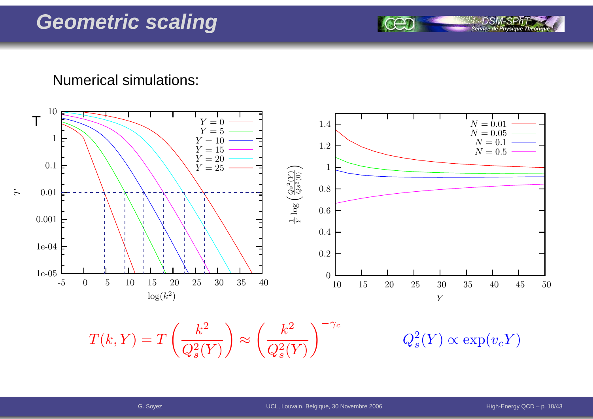Numerical simulations:



 $T(k, Y) = T\left(\frac{k^2}{Q_s^2(Y)}\right) \approx \left(\frac{k^2}{Q_s^2(Y)}\right)^{-\gamma_c} \qquad \qquad Q_s^2(Y) \propto \exp(v_c Y)$ 

Service de Ph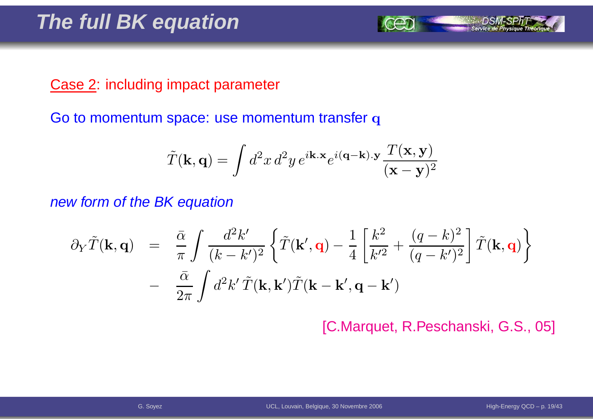#### Case 2: including impact parameter

Go to momentum space: use momentum transfer  ${\bf q}$ 

$$
\tilde{T}(\mathbf{k}, \mathbf{q}) = \int d^2x \, d^2y \, e^{i\mathbf{k} \cdot \mathbf{x}} e^{i(\mathbf{q} - \mathbf{k}) \cdot \mathbf{y}} \frac{T(\mathbf{x}, \mathbf{y})}{(\mathbf{x} - \mathbf{y})^2}
$$

new form of the BK equation

$$
\partial_Y \tilde{T}(\mathbf{k}, \mathbf{q}) = \frac{\bar{\alpha}}{\pi} \int \frac{d^2 k'}{(k - k')^2} \left\{ \tilde{T}(\mathbf{k}', \mathbf{q}) - \frac{1}{4} \left[ \frac{k^2}{k'^2} + \frac{(q - k)^2}{(q - k')^2} \right] \tilde{T}(\mathbf{k}, \mathbf{q}) \right\} - \frac{\bar{\alpha}}{2\pi} \int d^2 k' \tilde{T}(\mathbf{k}, \mathbf{k}') \tilde{T}(\mathbf{k} - \mathbf{k}', \mathbf{q} - \mathbf{k}')
$$

[C.Marquet, R.Peschanski, G.S., 05]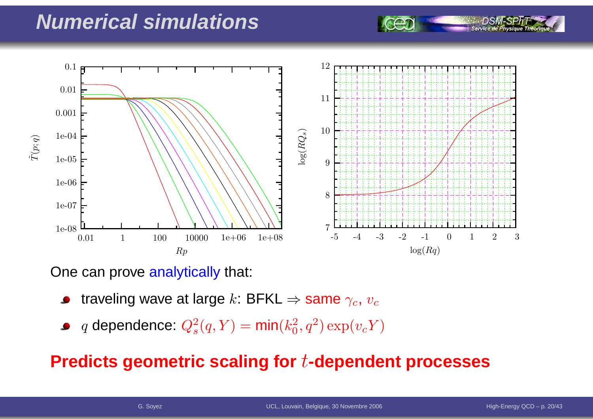#### **Numerical simulations**



One can prove <mark>analytically</mark> that:

- traveling wave at large  $k$ : BFKL  $\Rightarrow$  same  $\gamma_c$ ,  $v_c$
- $q$  dependence:  $Q_s^2$  $s^2(q,Y) = \textsf{min}(k_0^2)$  $_0^2, q^2) \exp(v_c Y)$

#### **Predicts geometric scaling for**t**-dependent processes**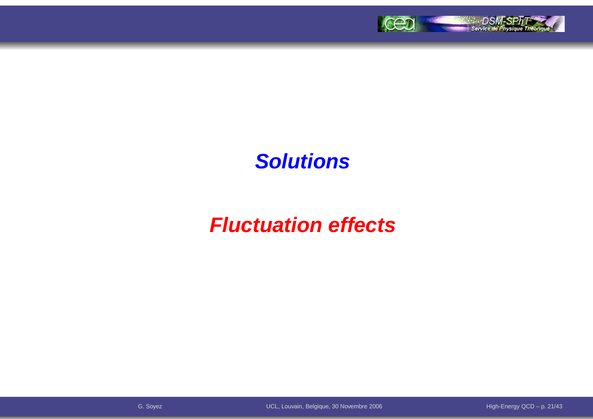

#### **Solutions**

# **Fluctuation effects**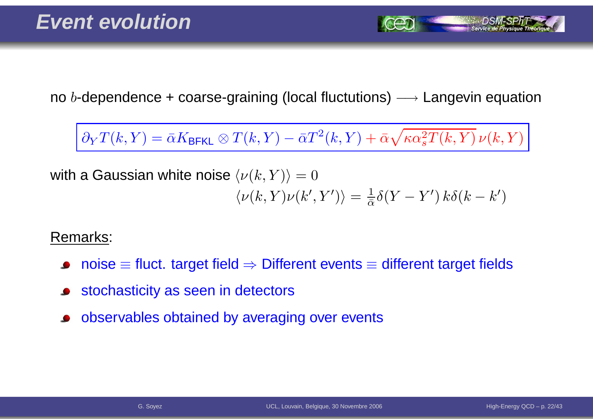no  $b$ -dependence + coarse-graining (local fluctutions)  $\longrightarrow$  Langevin equation

 $∂<sub>Y</sub>T(k,Y) = \bar{\alpha}K_{\text{BFKL}} ⊗ T(k,Y) - \bar{\alpha}T^{2}(k,Y) + \bar{\alpha}\sqrt{\kappa\alpha_{s}^{2}T(k,Y)}\,\nu(k,Y)$ 

with a Gaussian white noise  $\langle \nu(k,Y) \rangle = 0$  $\langle \nu(k,Y) \nu(k',Y') \rangle = \frac{1}{\bar{\alpha}} \delta(Y-Y') k \delta(k-k')$ 

Remarks:

- $\mathsf{noise} \equiv \mathsf{fluct}.$  target field  $\Rightarrow$  Different events  $\equiv$  different target fields
- stochasticity as seen in detectors
- observables obtained by averaging over events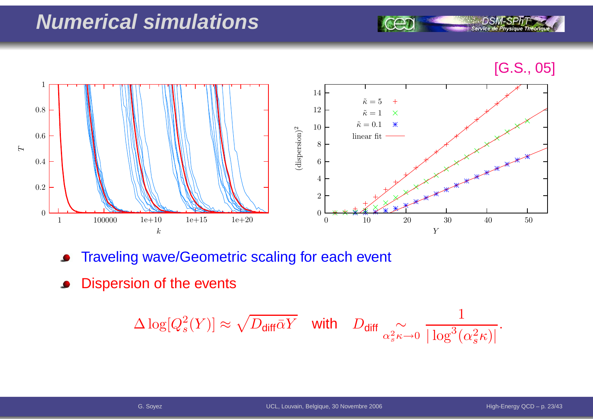## **Numerical simulations**

[G.S., 05]

**Service de Physique Théoriq** 



- Traveling wave/Geometric scaling for each event  $\bullet$
- Dispersion of the events

$$
\Delta \log[Q_s^2(Y)] \approx \sqrt{D_{\text{diff}}\bar{\alpha}Y} \quad \text{with} \quad D_{\text{diff}} \underset{\alpha_s^2 \kappa \to 0}{\sim} \frac{1}{|\log^3(\alpha_s^2 \kappa)|}.
$$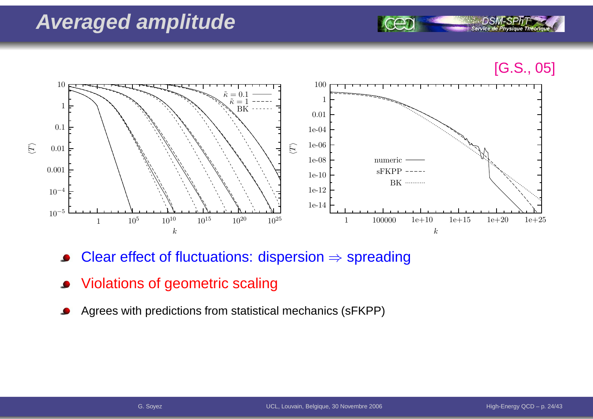### **Averaged amplitude**





- Clear effect of fluctuations: dispersion  $\Rightarrow$  spreading
- Violations of geometric scaling
- Agrees with predictions from statistical mechanics (sFKPP)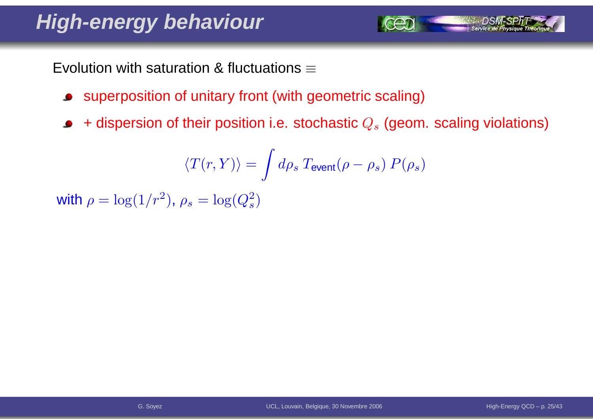# **High-energy behaviour**

Evolution with saturation & fluctuations  $\equiv$ 

- superposition of unitary front (with geometric scaling)
- + dispersion of their position i.e. stochastic  $Q_s$  (geom. scaling violations)  $\bullet$

$$
\langle T(r,Y) \rangle = \int d\rho_s \: T_{\rm event}(\rho-\rho_s) \: P(\rho_s)
$$

with  $\rho = \log(1/r^2)$  $^2$ ),  $\rho_s=\log(Q_s^2)$  $\left( \frac{2}{s}\right)$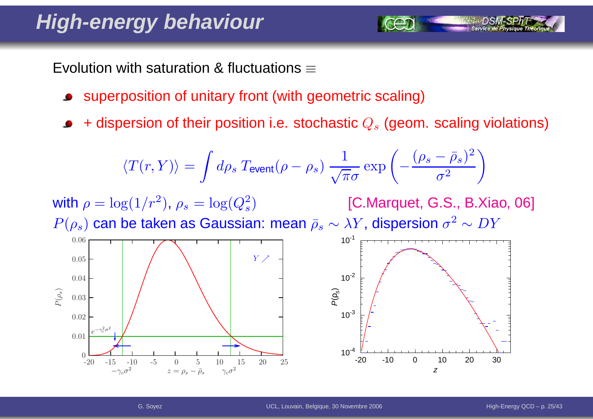# **High-energy behaviour**

Evolution with saturation & fluctuations  $\equiv$ 

- superposition of unitary front (with geometric scaling)
- + dispersion of their position i.e. stochastic  $Q_s$  (geom. scaling violations)

$$
\langle T(r,Y) \rangle = \int d\rho_s \, T_{\text{event}}(\rho - \rho_s) \, \frac{1}{\sqrt{\pi}\sigma} \exp\left(-\frac{(\rho_s - \bar{\rho}_s)^2}{\sigma^2}\right)
$$

with  $\rho = \log(1/r^2)$  $^2$ ),  $\rho_s=\log(Q_s^2)$  $P(\rho_s)$  can be taken as Gaussian: mean  $\bar \rho_s \sim \lambda Y$ , dispersion  $\sigma^2$  $\left( \frac{2}{s}\right)$  [C.Marquet, G.S., B.Xiao, 06]  $^2 \sim DY$ 

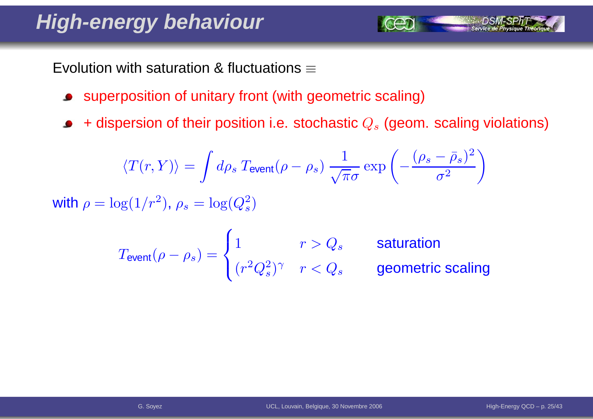# **High-energy behaviour**

Evolution with saturation & fluctuations  $\equiv$ 

- superposition of unitary front (with geometric scaling) $\bullet$
- + dispersion of their position i.e. stochastic  $Q_s$  (geom. scaling violations)  $\bullet$

$$
\langle T(r,Y)\rangle = \int d\rho_s \, T_{\text{event}}(\rho - \rho_s) \, \frac{1}{\sqrt{\pi}\sigma} \exp\left(-\frac{(\rho_s - \bar{\rho}_s)^2}{\sigma^2}\right)
$$
\nwith  $\rho = \log(1/r^2)$ ,  $\rho_s = \log(Q_s^2)$ 

$$
T_{\text{event}}(\rho - \rho_s) = \begin{cases} 1 & r > Q_s \\ (r^2 Q_s^2)^\gamma & r < Q_s \end{cases}
$$
 **saturation geometric scaling**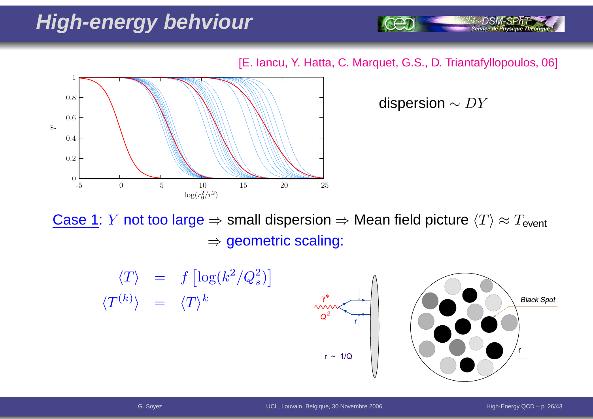# **High-energy behviour**

[E. Iancu, Y. Hatta, C. Marquet, G.S., D. Triantafyllopoulos, 06]



dispersion  $\sim DY$ 

Service de Physique Théoriq

<u>Case 1</u>: *Y* not too large ⇒ small dispersion ⇒ Mean field picture  $\langle T \rangle \approx T_{\sf event}$  $\Rightarrow$  geometric scaling:

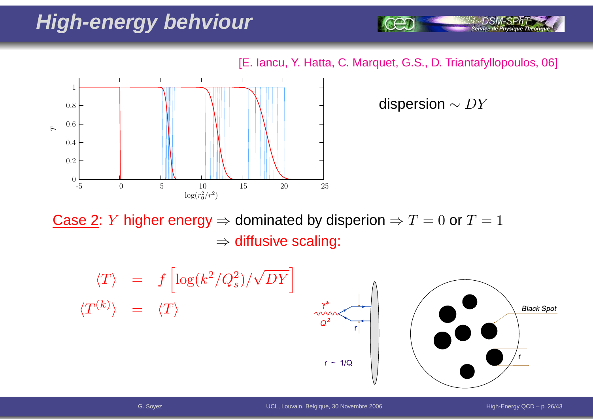# **High-energy behviour**

[E. Iancu, Y. Hatta, C. Marquet, G.S., D. Triantafyllopoulos, 06]



dispersion  $\sim DY$ 

Service de Physique Théoriq

Case 2: *Y* higher energy ⇒ dominated by disperion ⇒  $T = 0$  or  $T = 1$  $\Rightarrow$  diffusive scaling:

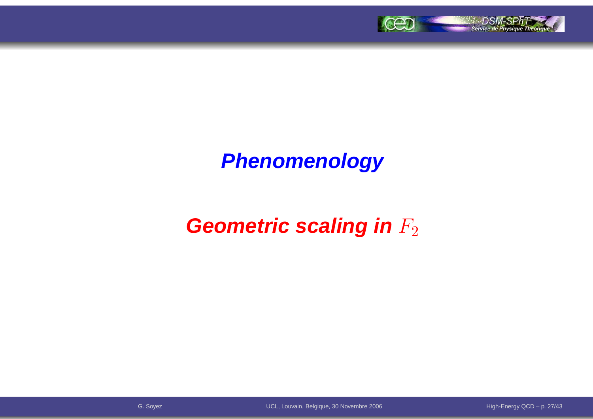

# **Phenomenology**

# **Geometric scaling in**  $F_2$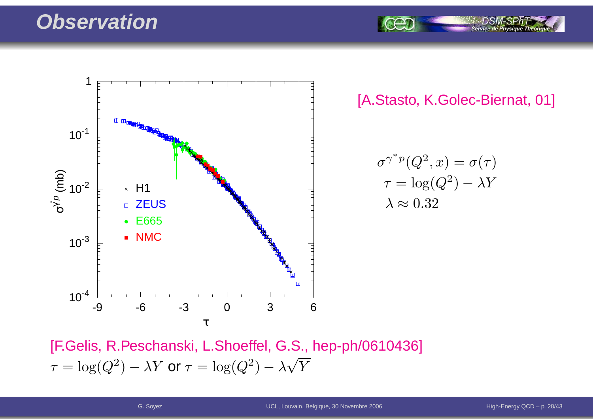#### **Observation**



[A.Stasto, K.Golec-Biernat, 01]

Service de P

$$
\sigma^{\gamma^* p}(Q^2, x) = \sigma(\tau)
$$

$$
\tau = \log(Q^2) - \lambda Y
$$

$$
\lambda \approx 0.32
$$

[F.Gelis, R.Peschanski, L.Shoeffel, G.S., hep-ph/0610436]  $\tau$  $\tau = \log(Q^2) - \lambda Y$  or  $\tau = \log(Q^2) - \lambda \sqrt{Y}$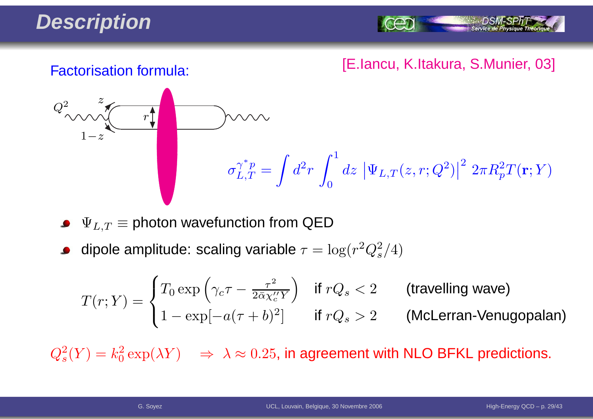# **Description**

Service de Ph

#### [E.Iancu, K.Itakura, S.Munier, 03] Factorisation formula:



 $\Psi_{L,T} \equiv$  photon wavefunction from QED

dipole amplitude: scaling variable  $\tau = \log(r^2 Q_s^2/4)$ 

$$
T(r;Y) = \begin{cases} T_0 \exp\left(\gamma_c \tau - \frac{\tau^2}{2\bar{\alpha}\chi_c''Y}\right) & \text{if } rQ_s < 2 \\ 1 - \exp[-a(\tau + b)^2] & \text{if } rQ_s > 2 \end{cases} \quad \text{(McLerran-Venugopalan)}
$$

 $Q_s^2(Y) = k_0^2 \exp(\lambda Y) \quad \Rightarrow \; \lambda \approx 0.25$ , in agreement with NLO BFKL predictions.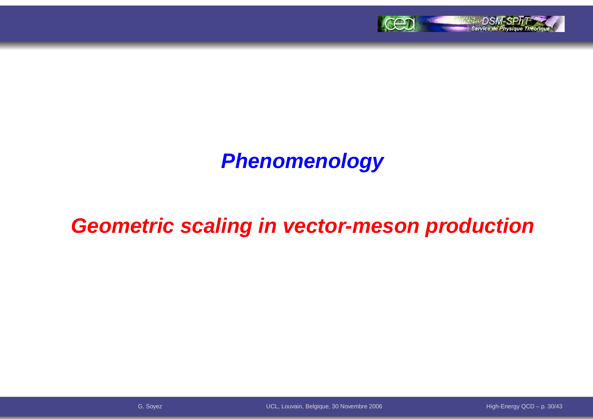

# **Phenomenology**

## **Geometric scaling in vector-meson production**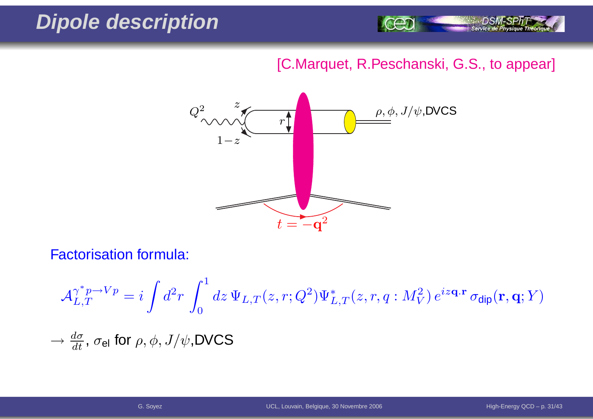## **Dipole description**



#### [C.Marquet, R.Peschanski, G.S., to appear]



Factorisation formula:

$$
\mathcal{A}_{L,T}^{\gamma^* p \to Vp} = i \int d^2 r \int_0^1 dz \, \Psi_{L,T}(z,r;Q^2) \Psi_{L,T}^*(z,r,q:M_V^2) \, e^{iz\mathbf{q} \cdot \mathbf{r}} \, \sigma_{\text{dip}}(\mathbf{r},\mathbf{q};Y)
$$
  

$$
\to \frac{d\sigma}{dt}, \, \sigma_{\text{el}} \text{ for } \rho, \phi, J/\psi, \text{DVCS}
$$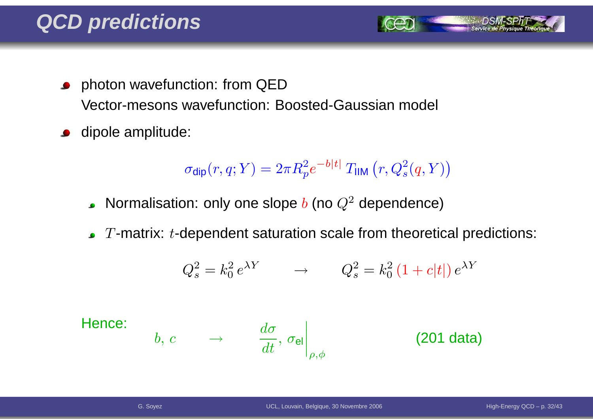- **•** photon wavefunction: from QED Vector-mesons wavefunction: Boosted-Gaussian model
- dipole amplitude:  $\bullet$

$$
\sigma_{\text{dip}}(r, q; Y) = 2\pi R_p^2 e^{-b|t|} T_{\text{IIM}}(r, Q_s^2(q, Y))
$$

- Normalisation: only one slope  $b$  (no  $Q^2$  dependence)
- $T$ -matrix:  $t$ -dependent saturation scale from theoretical predictions:

$$
Q_s^2 = k_0^2 e^{\lambda Y} \qquad \rightarrow \qquad Q_s^2 = k_0^2 \left(1 + c|t|\right) e^{\lambda Y}
$$

Hence:

$$
b, c \qquad \rightarrow \qquad \left. \frac{d\sigma}{dt}, \, \sigma_{\mathsf{el}} \right|_{\rho,\phi} \qquad \qquad \textbf{(201 data)}
$$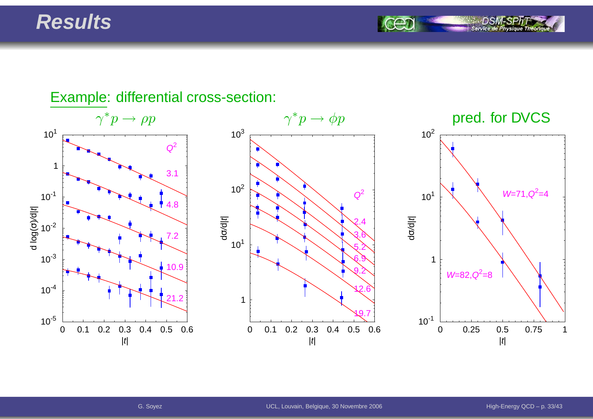#### **Results**

Service de Ph

#### $\gamma^* p \to$  $\gamma^* p \to \phi p$  pred. for DVCS 0 0.1 0.2 0.3 0.4 0.5 0.6|t| $10^{-5}$  $10^{-4}$  $10^{-3}$  $10^{-2}$  $10^{-1}$ 1 $10<sup>1</sup>$ d log( σচি र<br>ए  $\begin{array}{|c|c|c|}\n\hline\n1 & 3.1 \\
\hline\n10^{-1} & 3.1 \\
\hline\n\end{array}$ 7.210.921.20 0.1 0.2 0.3 0.4 0.5 0.6|t|110<sup>1</sup>  $10^2$  $10^{3}$ dσ/d| t<sup>|</sup> $\begin{array}{c}\n\begin{array}{ccc}\n\bullet & \bullet & \bullet & \bullet \\
\hline\n\bullet & \bullet & \bullet & \bullet\n\end{array}\n\end{array}$ 3.65.26.99.212.619.70 0.25 0.5 0.75 1 $|t|$  $10^{-1}$ 110<sup>1</sup>  $10^{2}$ dσ/d| t<sup>|</sup> $W=71, Q^2=4$  $W=82, Q^2=8$

#### Example: differential cross-section: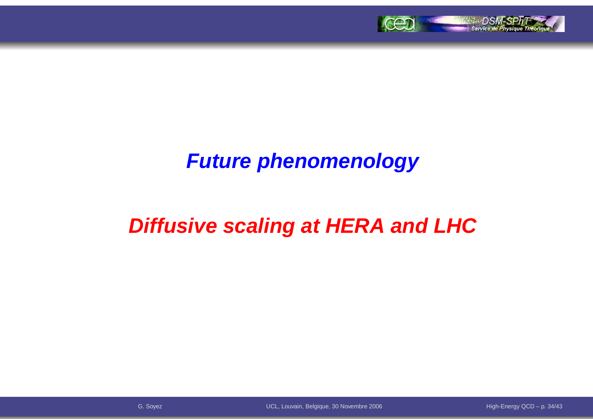

### **Future phenomenology**

# **Diffusive scaling at HERA and LHC**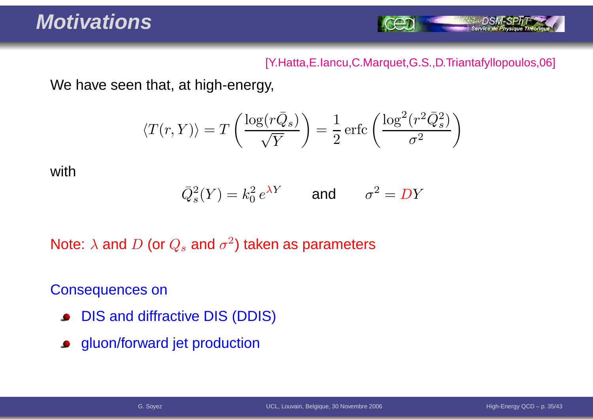

#### [Y.Hatta,E.Iancu,C.Marquet,G.S.,D.Triantafyllopoulos,06]

We have seen that, at high-energy,

$$
\langle T(r,Y) \rangle = T\left(\frac{\log(r\bar{Q}_s)}{\sqrt{Y}}\right) = \frac{1}{2} \operatorname{erfc}\left(\frac{\log^2(r^2 \bar{Q}_s^2)}{\sigma^2}\right)
$$

with

$$
\overline{Q}_s^2(Y) = k_0^2 e^{\lambda Y} \qquad \text{and} \qquad \sigma^2 = DY
$$

Note:  $\lambda$  and  $D$  (or  $Q_s$  and  $\sigma^2$ ) taken as parameters

Consequences on

- DIS and diffractive DIS (DDIS) $\bullet$
- gluon/forward jet production $\bullet$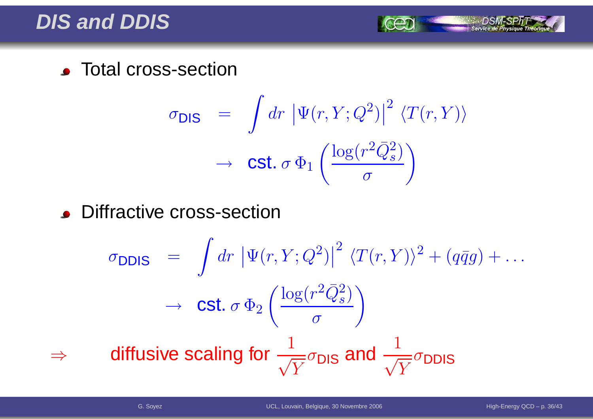#### **DIS and DDIS**

**CENTED Total cross-section** 

$$
\sigma_{\text{DIS}} = \int dr \, |\Psi(r, Y; Q^2)|^2 \, \langle T(r, Y) \rangle
$$

$$
\rightarrow \text{Cst. } \sigma \, \Phi_1 \left( \frac{\log(r^2 \bar{Q}_s^2)}{\sigma} \right)
$$

**.** Diffractive cross-section

$$
\sigma_{\text{DDIS}} = \int dr \left| \Psi(r, Y; Q^2) \right|^2 \langle T(r, Y) \rangle^2 + (q\bar{q}g) + \dots
$$
\n
$$
\rightarrow \text{Cst. } \sigma \Phi_2 \left( \frac{\log(r^2 \bar{Q}_s^2)}{\sigma} \right)
$$
\n
$$
\Rightarrow \text{diffusive scaling for } \frac{1}{\sqrt{Y}} \sigma_{\text{DIS}} \text{ and } \frac{1}{\sqrt{Y}} \sigma_{\text{DDIS}}
$$

⇒

Service de Physique Théoriq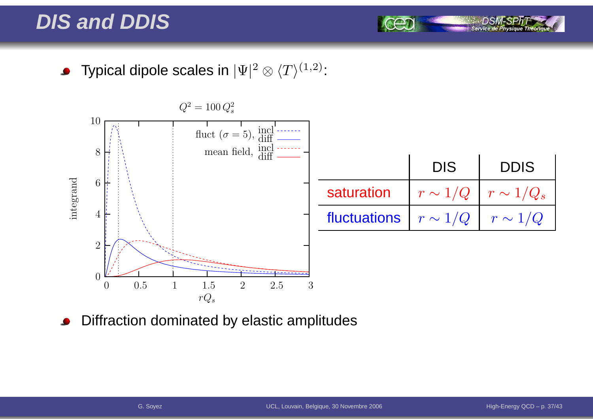#### **DIS and DDIS**

Typical dipole scales in  $|\Psi|^2\otimes \langle T\rangle^{(1,2)}$ :  $\bullet$ 



Diffraction dominated by elastic amplitudes

Service de Phy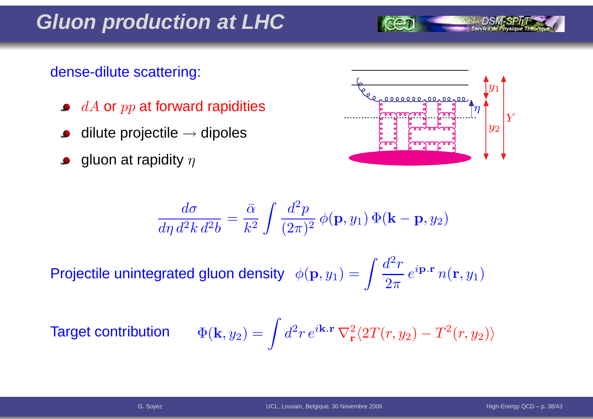**Gluon production at LHC**

#### dense-dilute scattering:

- $dA$  or  $pp$  at forward rapidities
- dilute projectile  $\rightarrow$  dipoles
- gluon at rapidity  $\eta$



Projectile unintegrated gluon density  $\phi(\mathbf{p},y_1) =$  $\int \frac{d}{2}$ 2- $r\,$  $\overline{2\pi}$  $\,e\,$  $^{i{\bf p.r}}$   $n({\bf r},y_{1}$ 1 $\binom{1}{1}$ 

**Target** 

$$
\text{at contribution } \qquad \Phi(\mathbf{k},y_2) = \int d^2r \, e^{i\mathbf{k}.\mathbf{r}} \, \nabla_\mathbf{r}^2 \langle 2T(r,y_2) - T^2(r,y_2) \rangle
$$

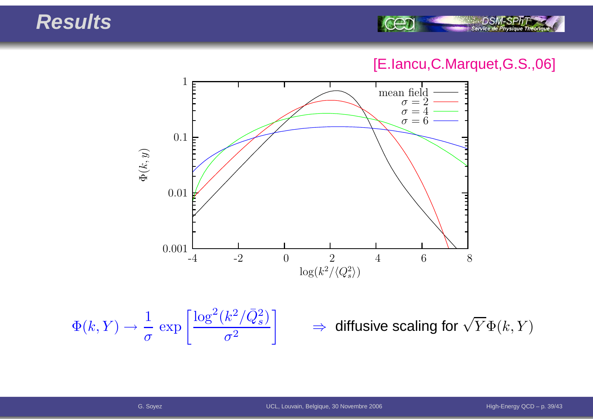#### **Results**



#### [E.Iancu,C.Marquet,G.S.,06]



$$
\Phi(k, Y) \to \frac{1}{\sigma} \exp\left[\frac{\log^2(k^2/\bar{Q}_s^2)}{\sigma^2}\right] \qquad \Rightarrow \qquad
$$

 $\Rightarrow$  diffusive scaling for  $\sqrt{Y}\Phi(k,Y)$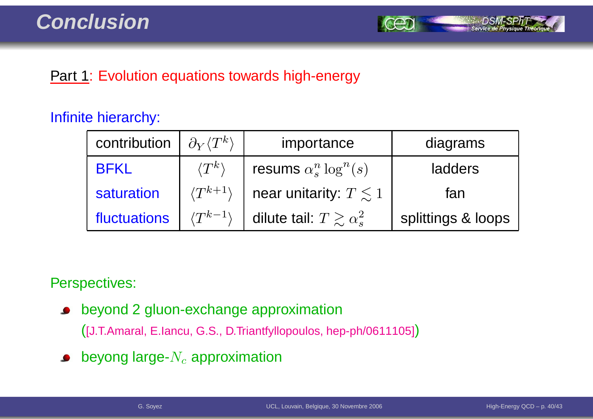

#### **Part 1: Evolution equations towards high-energy**

#### Infinite hierarchy:

| contribution | $\partial_Y \langle T^k \rangle$ | importance                          | diagrams           |
|--------------|----------------------------------|-------------------------------------|--------------------|
| <b>BFKL</b>  | $\langle T^k\rangle$             | resums $\alpha_s^n \log^n(s)$       | ladders            |
| saturation   | $\langle T^{k+1} \rangle$        | near unitarity: $T \leq 1$          | fan                |
| fluctuations | $\langle T^{k-1} \rangle$        | dilute tail: $T \gtrsim \alpha_s^2$ | splittings & loops |

Perspectives:

beyond 2 gluon-exchange approximation $\bullet$ 

([J.T.Amaral, E.Iancu, G.S., D.Triantfyllopoulos, hep-ph/0611105])

beyong large- $N_c$  approximation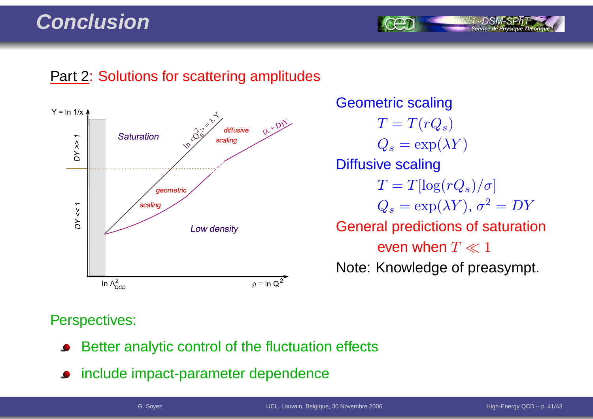#### **Conclusion**

#### **Part 2: Solutions for scattering amplitudes**



Geometric scaling $T=T(rQ_s)$  $Q_s = \exp(\lambda Y)$ Diffusive scaling $T = T[\log(rQ_s)/\sigma]$  $Q_s = \exp(\lambda Y), \, \sigma^2 = DY$ General predictions of saturationeven when  $T \ll 1$ Note: Knowledge of preasympt.

#### Perspectives:

- Better analytic control of the fluctuation effects
- include impact-parameter dependence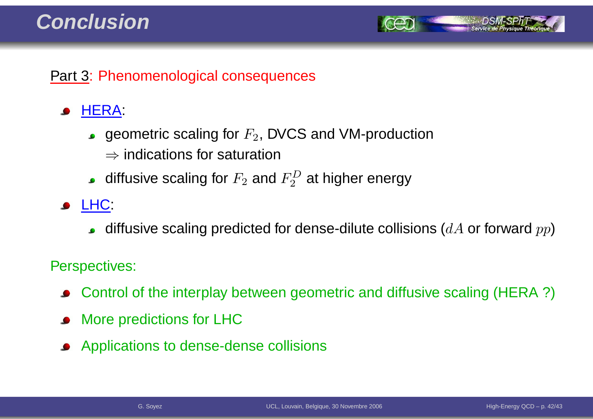#### **Conclusion**



#### Part 3: Phenomenological consequences

#### HERA:

- geometric scaling for  $F_2$ , DVCS and VM-production
	- $\Rightarrow$  indications for saturation
- diffusive scaling for  $F_2$  and  $F_2^D$  at higher energy
- **JELHC:** 
	- diffusive scaling predicted for dense-dilute collisions ( $dA$  or forward  $pp$ )

#### Perspectives:

- Control of the interplay between geometric and diffusive scaling (HERA ?)
- More predictions for LHC
- Applications to dense-dense collisions